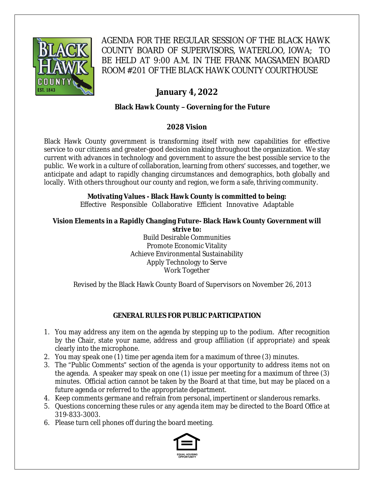

AGENDA FOR THE REGULAR SESSION OF THE BLACK HAWK COUNTY BOARD OF SUPERVISORS, WATERLOO, IOWA; TO BE HELD AT 9:00 A.M. IN THE FRANK MAGSAMEN BOARD ROOM #201 OF THE BLACK HAWK COUNTY COURTHOUSE

# **January 4, 2022**

# **Black Hawk County – Governing for the Future**

# **2028 Vision**

Black Hawk County government is transforming itself with new capabilities for effective service to our citizens and greater-good decision making throughout the organization. We stay current with advances in technology and government to assure the best possible service to the public. We work in a culture of collaboration, learning from others' successes, and together, we anticipate and adapt to rapidly changing circumstances and demographics, both globally and locally. With others throughout our county and region, we form a safe, thriving community.

# **Motivating Values - Black Hawk County is committed to being:**

Effective Responsible Collaborative Efficient Innovative Adaptable

#### **Vision Elements in a Rapidly Changing Future- Black Hawk County Government will strive to:**

Build Desirable Communities Promote Economic Vitality Achieve Environmental Sustainability Apply Technology to Serve Work Together

Revised by the Black Hawk County Board of Supervisors on November 26, 2013

# **GENERAL RULES FOR PUBLIC PARTICIPATION**

- 1. You may address any item on the agenda by stepping up to the podium. After recognition by the Chair, state your name, address and group affiliation (if appropriate) and speak clearly into the microphone.
- 2. You may speak one (1) time per agenda item for a maximum of three (3) minutes.
- 3. The "Public Comments" section of the agenda is your opportunity to address items not on the agenda. A speaker may speak on one (1) issue per meeting for a maximum of three (3) minutes. Official action cannot be taken by the Board at that time, but may be placed on a future agenda or referred to the appropriate department.
- 4. Keep comments germane and refrain from personal, impertinent or slanderous remarks.
- 5. Questions concerning these rules or any agenda item may be directed to the Board Office at 319-833-3003.
- 6. Please turn cell phones off during the board meeting.

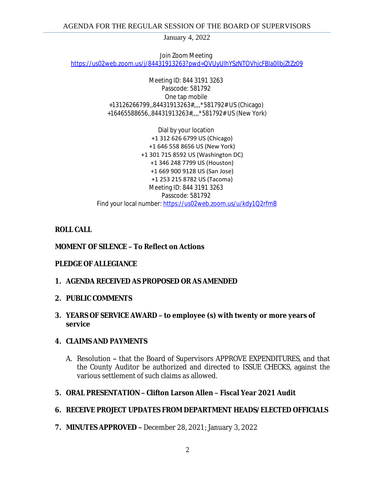January 4, 2022

Join Zoom Meeting [https://us02web.zoom.us/j/84431913263?pwd=QVUyUlhYSzNTOVhjcFBla0llbjZtZz09](https://gcc02.safelinks.protection.outlook.com/?url=https%3A%2F%2Fus02web.zoom.us%2Fj%2F84431913263%3Fpwd%3DQVUyUlhYSzNTOVhjcFBla0llbjZtZz09&data=04%7C01%7Cjperry%40blackhawkcounty.iowa.gov%7C32ea20027a7e4b09b8ff08d9ca26d113%7C9960f5b6faae4bb3a122c43aceeaa06d%7C0%7C0%7C637763090340795469%7CUnknown%7CTWFpbGZsb3d8eyJWIjoiMC4wLjAwMDAiLCJQIjoiV2luMzIiLCJBTiI6Ik1haWwiLCJXVCI6Mn0%3D%7C3000&sdata=zw6hF3oFGlbTaNUbqqw1riUxpllVz1YaS5YKFfOYG8A%3D&reserved=0)

> Meeting ID: 844 3191 3263 Passcode: 581792 One tap mobile +13126266799,,84431913263#,,,,\*581792# US (Chicago) +16465588656,,84431913263#,,,,\*581792# US (New York)

Dial by your location +1 312 626 6799 US (Chicago) +1 646 558 8656 US (New York) +1 301 715 8592 US (Washington DC) +1 346 248 7799 US (Houston) +1 669 900 9128 US (San Jose) +1 253 215 8782 US (Tacoma) Meeting ID: 844 3191 3263 Passcode: 581792 Find your local number: [https://us02web.zoom.us/u/kdy1Q2rfmB](https://gcc02.safelinks.protection.outlook.com/?url=https%3A%2F%2Fus02web.zoom.us%2Fu%2Fkdy1Q2rfmB&data=04%7C01%7Cjperry%40blackhawkcounty.iowa.gov%7C32ea20027a7e4b09b8ff08d9ca26d113%7C9960f5b6faae4bb3a122c43aceeaa06d%7C0%7C0%7C637763090340805425%7CUnknown%7CTWFpbGZsb3d8eyJWIjoiMC4wLjAwMDAiLCJQIjoiV2luMzIiLCJBTiI6Ik1haWwiLCJXVCI6Mn0%3D%7C3000&sdata=6TVL92YpR9B1TOpHucg7qJe9pGdpLXc2LE5xIoxVlQw%3D&reserved=0)

## **ROLL CALL**

### **MOMENT OF SILENCE – To Reflect on Actions**

### **PLEDGE OF ALLEGIANCE**

- **1. AGENDA RECEIVED AS PROPOSED OR AS AMENDED**
- **2. PUBLIC COMMENTS**

### **3. YEARS OF SERVICE AWARD – to employee (s) with twenty or more years of service**

### **4. CLAIMS AND PAYMENTS**

A. Resolution **–** that the Board of Supervisors APPROVE EXPENDITURES, and that the County Auditor be authorized and directed to ISSUE CHECKS, against the various settlement of such claims as allowed.

### **5. ORAL PRESENTATION – Clifton Larson Allen – Fiscal Year 2021 Audit**

# **6. RECEIVE PROJECT UPDATES FROM DEPARTMENT HEADS/ELECTED OFFICIALS**

**7. MINUTES APPROVED –** December 28, 2021; January 3, 2022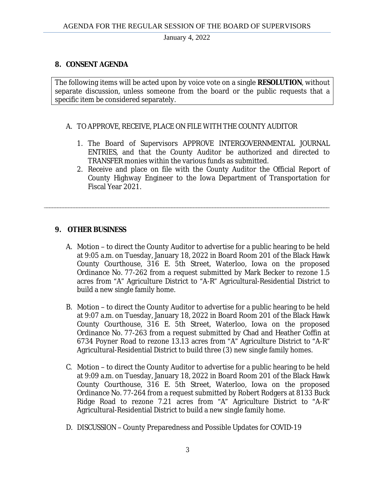January 4, 2022

## **8. CONSENT AGENDA**

The following items will be acted upon by voice vote on a single **RESOLUTION**, without separate discussion, unless someone from the board or the public requests that a specific item be considered separately.

### A. TO APPROVE, RECEIVE, PLACE ON FILE WITH THE COUNTY AUDITOR

\_\_\_\_\_\_\_\_\_\_\_\_\_\_\_\_\_\_\_\_\_\_\_\_\_\_\_\_\_\_\_\_\_\_\_\_\_\_\_\_\_\_\_\_\_\_\_\_\_\_\_\_\_\_\_\_\_\_\_\_\_\_\_\_\_\_\_\_\_\_\_\_\_\_\_\_\_\_\_\_\_\_\_\_\_\_\_\_\_\_\_\_\_\_\_\_\_\_\_\_\_\_\_\_\_

- 1. The Board of Supervisors APPROVE INTERGOVERNMENTAL JOURNAL ENTRIES, and that the County Auditor be authorized and directed to TRANSFER monies within the various funds as submitted.
- 2. Receive and place on file with the County Auditor the Official Report of County Highway Engineer to the Iowa Department of Transportation for Fiscal Year 2021.

## **9. OTHER BUSINESS**

- A. Motion to direct the County Auditor to advertise for a public hearing to be held at 9:05 a.m. on Tuesday, January 18, 2022 in Board Room 201 of the Black Hawk County Courthouse, 316 E. 5th Street, Waterloo, Iowa on the proposed Ordinance No. 77-262 from a request submitted by Mark Becker to rezone 1.5 acres from "A" Agriculture District to "A-R" Agricultural-Residential District to build a new single family home.
- B. Motion to direct the County Auditor to advertise for a public hearing to be held at 9:07 a.m. on Tuesday, January 18, 2022 in Board Room 201 of the Black Hawk County Courthouse, 316 E. 5th Street, Waterloo, Iowa on the proposed Ordinance No. 77-263 from a request submitted by Chad and Heather Coffin at 6734 Poyner Road to rezone 13.13 acres from "A" Agriculture District to "A-R" Agricultural-Residential District to build three (3) new single family homes.
- C. Motion to direct the County Auditor to advertise for a public hearing to be held at 9:09 a.m. on Tuesday, January 18, 2022 in Board Room 201 of the Black Hawk County Courthouse, 316 E. 5th Street, Waterloo, Iowa on the proposed Ordinance No. 77-264 from a request submitted by Robert Rodgers at 8133 Buck Ridge Road to rezone 7.21 acres from "A" Agriculture District to "A-R" Agricultural-Residential District to build a new single family home.
- D. DISCUSSION County Preparedness and Possible Updates for COVID-19